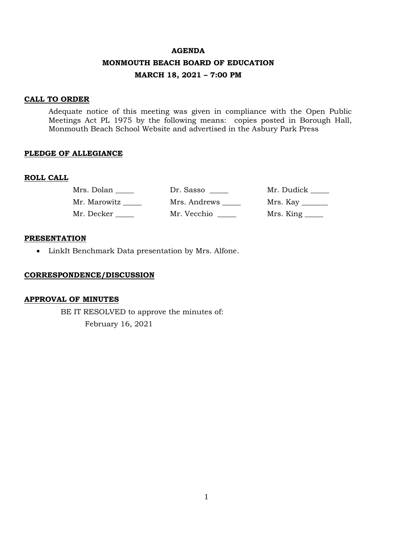#### **AGENDA**

## **MONMOUTH BEACH BOARD OF EDUCATION**

### **MARCH 18, 2021 – 7:00 PM**

#### **CALL TO ORDER**

Adequate notice of this meeting was given in compliance with the Open Public Meetings Act PL 1975 by the following means: copies posted in Borough Hall, Monmouth Beach School Website and advertised in the Asbury Park Press

#### **PLEDGE OF ALLEGIANCE**

#### **ROLL CALL**

| Mrs. Dolan   | Dr. Sasso    | Mr. Dudick _____ |
|--------------|--------------|------------------|
| Mr. Marowitz | Mrs. Andrews |                  |
| Mr. Decker   | Mr. Vecchio  | Mrs. King _____  |

## **PRESENTATION**

• LinkIt Benchmark Data presentation by Mrs. Alfone.

#### **CORRESPONDENCE/DISCUSSION**

#### **APPROVAL OF MINUTES**

BE IT RESOLVED to approve the minutes of: February 16, 2021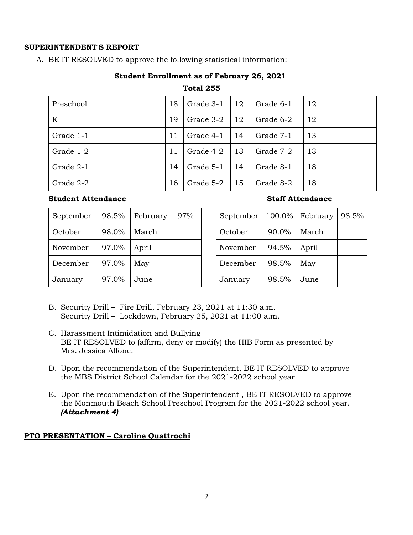# **SUPERINTENDENT'S REPORT**

A. BE IT RESOLVED to approve the following statistical information:

# **Student Enrollment as of February 26, 2021**

## **Total 255**

| Preschool | 18 | Grade 3-1 | 12 | Grade 6-1 | 12 |
|-----------|----|-----------|----|-----------|----|
| K         | 19 | Grade 3-2 | 12 | Grade 6-2 | 12 |
| Grade 1-1 | 11 | Grade 4-1 | 14 | Grade 7-1 | 13 |
| Grade 1-2 | 11 | Grade 4-2 | 13 | Grade 7-2 | 13 |
| Grade 2-1 | 14 | Grade 5-1 | 14 | Grade 8-1 | 18 |
| Grade 2-2 | 16 | Grade 5-2 | 15 | Grade 8-2 | 18 |

# **Student Attendance Staff Attendance**

| September | 98.5% | February | 97% |
|-----------|-------|----------|-----|
| October   | 98.0% | March    |     |
| November  | 97.0% | April    |     |
| December  | 97.0% | May      |     |
| January   | 97.0% | June     |     |

| September | 100.0% | February | 98.5% |
|-----------|--------|----------|-------|
| October   | 90.0%  | March    |       |
| November  | 94.5%  | April    |       |
| December  | 98.5%  | May      |       |
| January   | 98.5%  | June     |       |

- B. Security Drill Fire Drill, February 23, 2021 at 11:30 a.m. Security Drill – Lockdown, February 25, 2021 at 11:00 a.m.
- C. Harassment Intimidation and Bullying BE IT RESOLVED to (affirm, deny or modify) the HIB Form as presented by Mrs. Jessica Alfone.
- D. Upon the recommendation of the Superintendent, BE IT RESOLVED to approve the MBS District School Calendar for the 2021-2022 school year.
- E. Upon the recommendation of the Superintendent , BE IT RESOLVED to approve the Monmouth Beach School Preschool Program for the 2021-2022 school year. *(Attachment 4)*

# **PTO PRESENTATION – Caroline Quattrochi**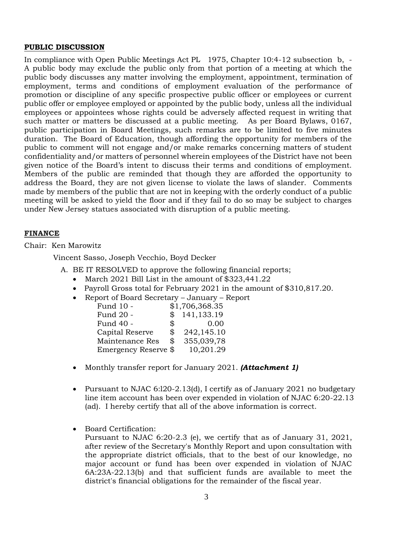## **PUBLIC DISCUSSION**

In compliance with Open Public Meetings Act PL 1975, Chapter 10:4-12 subsection b, - A public body may exclude the public only from that portion of a meeting at which the public body discusses any matter involving the employment, appointment, termination of employment, terms and conditions of employment evaluation of the performance of promotion or discipline of any specific prospective public officer or employees or current public offer or employee employed or appointed by the public body, unless all the individual employees or appointees whose rights could be adversely affected request in writing that such matter or matters be discussed at a public meeting. As per Board Bylaws, 0167, public participation in Board Meetings, such remarks are to be limited to five minutes duration. The Board of Education, though affording the opportunity for members of the public to comment will not engage and/or make remarks concerning matters of student confidentiality and/or matters of personnel wherein employees of the District have not been given notice of the Board's intent to discuss their terms and conditions of employment. Members of the public are reminded that though they are afforded the opportunity to address the Board, they are not given license to violate the laws of slander. Comments made by members of the public that are not in keeping with the orderly conduct of a public meeting will be asked to yield the floor and if they fail to do so may be subject to charges under New Jersey statues associated with disruption of a public meeting.

## **FINANCE**

Chair: Ken Marowitz

Vincent Sasso, Joseph Vecchio, Boyd Decker

- A. BE IT RESOLVED to approve the following financial reports;
	- March 2021 Bill List in the amount of \$323,441.22
	- Payroll Gross total for February 2021 in the amount of \$310,817.20.
	- Report of Board Secretary January Report

| Fund 10 -            | \$1,706,368.35   |
|----------------------|------------------|
| Fund 20 -            | \$<br>141,133.19 |
| Fund 40 -            | \$<br>0.00       |
| Capital Reserve      | \$<br>242,145.10 |
| Maintenance Res      | \$<br>355,039,78 |
| Emergency Reserve \$ | 10,201.29        |

- Monthly transfer report for January 2021. *(Attachment 1)*
- Pursuant to NJAC 6:l20-2.13(d), I certify as of January 2021 no budgetary line item account has been over expended in violation of NJAC 6:20-22.13 (ad). I hereby certify that all of the above information is correct.
- Board Certification:

Pursuant to NJAC 6:20-2.3 (e), we certify that as of January 31, 2021, after review of the Secretary's Monthly Report and upon consultation with the appropriate district officials, that to the best of our knowledge, no major account or fund has been over expended in violation of NJAC 6A:23A-22.13(b) and that sufficient funds are available to meet the district's financial obligations for the remainder of the fiscal year.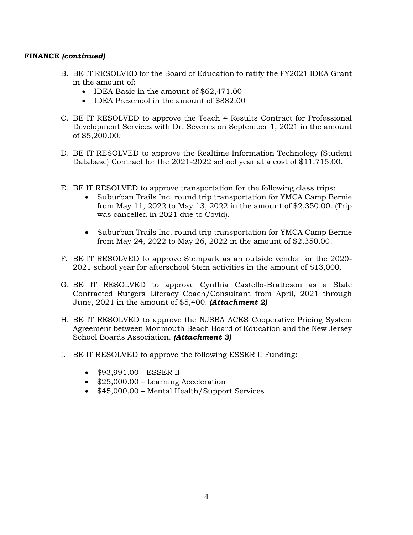## **FINANCE** *(continued)*

- B. BE IT RESOLVED for the Board of Education to ratify the FY2021 IDEA Grant in the amount of:
	- IDEA Basic in the amount of \$62,471.00
	- IDEA Preschool in the amount of \$882.00
- C. BE IT RESOLVED to approve the Teach 4 Results Contract for Professional Development Services with Dr. Severns on September 1, 2021 in the amount of \$5,200.00.
- D. BE IT RESOLVED to approve the Realtime Information Technology (Student Database) Contract for the 2021-2022 school year at a cost of \$11,715.00.
- E. BE IT RESOLVED to approve transportation for the following class trips:
	- Suburban Trails Inc. round trip transportation for YMCA Camp Bernie from May 11, 2022 to May 13, 2022 in the amount of \$2,350.00. (Trip was cancelled in 2021 due to Covid).
	- Suburban Trails Inc. round trip transportation for YMCA Camp Bernie from May 24, 2022 to May 26, 2022 in the amount of \$2,350.00.
- F. BE IT RESOLVED to approve Stempark as an outside vendor for the 2020- 2021 school year for afterschool Stem activities in the amount of \$13,000.
- G. BE IT RESOLVED to approve Cynthia Castello-Bratteson as a State Contracted Rutgers Literacy Coach/Consultant from April, 2021 through June, 2021 in the amount of \$5,400. *(Attachment 2)*
- H. BE IT RESOLVED to approve the NJSBA ACES Cooperative Pricing System Agreement between Monmouth Beach Board of Education and the New Jersey School Boards Association. *(Attachment 3)*
- I. BE IT RESOLVED to approve the following ESSER II Funding:
	- \$93,991.00 ESSER II
	- \$25,000.00 Learning Acceleration
	- \$45,000.00 Mental Health/Support Services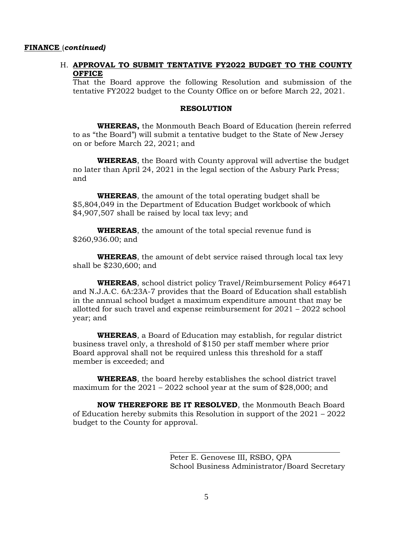#### **FINANCE** (*continued)*

## H. **APPROVAL TO SUBMIT TENTATIVE FY2022 BUDGET TO THE COUNTY OFFICE**

That the Board approve the following Resolution and submission of the tentative FY2022 budget to the County Office on or before March 22, 2021.

#### **RESOLUTION**

**WHEREAS,** the Monmouth Beach Board of Education (herein referred to as "the Board") will submit a tentative budget to the State of New Jersey on or before March 22, 2021; and

**WHEREAS**, the Board with County approval will advertise the budget no later than April 24, 2021 in the legal section of the Asbury Park Press; and

**WHEREAS**, the amount of the total operating budget shall be \$5,804,049 in the Department of Education Budget workbook of which \$4,907,507 shall be raised by local tax levy; and

**WHEREAS**, the amount of the total special revenue fund is \$260,936.00; and

**WHEREAS**, the amount of debt service raised through local tax levy shall be \$230,600; and

**WHEREAS**, school district policy Travel/Reimbursement Policy #6471 and N.J.A.C. 6A:23A-7 provides that the Board of Education shall establish in the annual school budget a maximum expenditure amount that may be allotted for such travel and expense reimbursement for 2021 – 2022 school year; and

**WHEREAS**, a Board of Education may establish, for regular district business travel only, a threshold of \$150 per staff member where prior Board approval shall not be required unless this threshold for a staff member is exceeded; and

**WHEREAS**, the board hereby establishes the school district travel maximum for the  $2021 - 2022$  school year at the sum of \$28,000; and

**NOW THEREFORE BE IT RESOLVED**, the Monmouth Beach Board of Education hereby submits this Resolution in support of the 2021 – 2022 budget to the County for approval.

Peter E. Genovese III, RSBO, QPA School Business Administrator/Board Secretary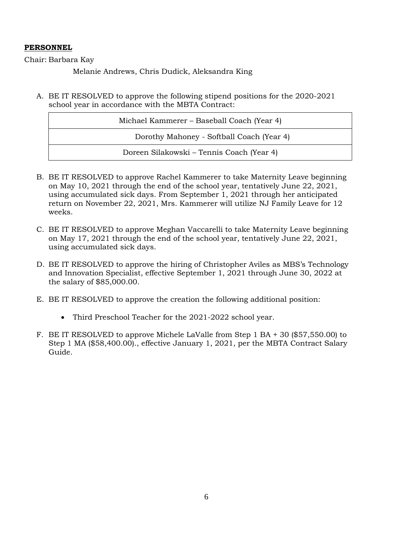# **PERSONNEL**

Chair: Barbara Kay

Melanie Andrews, Chris Dudick, Aleksandra King

A. BE IT RESOLVED to approve the following stipend positions for the 2020-2021 school year in accordance with the MBTA Contract:

| Michael Kammerer – Baseball Coach (Year 4) |
|--------------------------------------------|
| Dorothy Mahoney - Softball Coach (Year 4)  |
| Doreen Silakowski – Tennis Coach (Year 4)  |

- B. BE IT RESOLVED to approve Rachel Kammerer to take Maternity Leave beginning on May 10, 2021 through the end of the school year, tentatively June 22, 2021, using accumulated sick days. From September 1, 2021 through her anticipated return on November 22, 2021, Mrs. Kammerer will utilize NJ Family Leave for 12 weeks.
- C. BE IT RESOLVED to approve Meghan Vaccarelli to take Maternity Leave beginning on May 17, 2021 through the end of the school year, tentatively June 22, 2021, using accumulated sick days.
- D. BE IT RESOLVED to approve the hiring of Christopher Aviles as MBS's Technology and Innovation Specialist, effective September 1, 2021 through June 30, 2022 at the salary of \$85,000.00.
- E. BE IT RESOLVED to approve the creation the following additional position:
	- Third Preschool Teacher for the 2021-2022 school year.
- F. BE IT RESOLVED to approve Michele LaValle from Step 1 BA + 30 (\$57,550.00) to Step 1 MA (\$58,400.00)., effective January 1, 2021, per the MBTA Contract Salary Guide.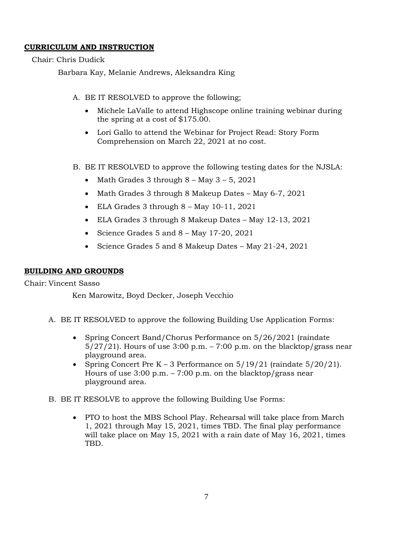# **CURRICULUM AND INSTRUCTION**

Chair: Chris Dudick

Barbara Kay, Melanie Andrews, Aleksandra King

- A. BE IT RESOLVED to approve the following;
	- Michele LaValle to attend Highscope online training webinar during the spring at a cost of \$175.00.
	- Lori Gallo to attend the Webinar for Project Read: Story Form Comprehension on March 22, 2021 at no cost.
- B. BE IT RESOLVED to approve the following testing dates for the NJSLA:
	- Math Grades 3 through  $8 -$  May  $3 5$ , 2021
	- Math Grades 3 through 8 Makeup Dates May 6-7, 2021
	- ELA Grades 3 through 8 May 10-11, 2021
	- ELA Grades 3 through 8 Makeup Dates May 12-13, 2021
	- Science Grades 5 and 8 May 17-20, 2021
	- Science Grades 5 and 8 Makeup Dates May 21-24, 2021

# **BUILDING AND GROUNDS**

Chair: Vincent Sasso

Ken Marowitz, Boyd Decker, Joseph Vecchio

- A. BE IT RESOLVED to approve the following Building Use Application Forms:
	- Spring Concert Band/Chorus Performance on 5/26/2021 (raindate)  $5/27/21$ . Hours of use 3:00 p.m. – 7:00 p.m. on the blacktop/grass near playground area.
	- Spring Concert Pre K 3 Performance on  $5/19/21$  (raindate  $5/20/21$ ). Hours of use  $3:00$  p.m. –  $7:00$  p.m. on the blacktop/grass near playground area.
- B. BE IT RESOLVE to approve the following Building Use Forms:
	- PTO to host the MBS School Play. Rehearsal will take place from March 1, 2021 through May 15, 2021, times TBD. The final play performance will take place on May 15, 2021 with a rain date of May 16, 2021, times TBD.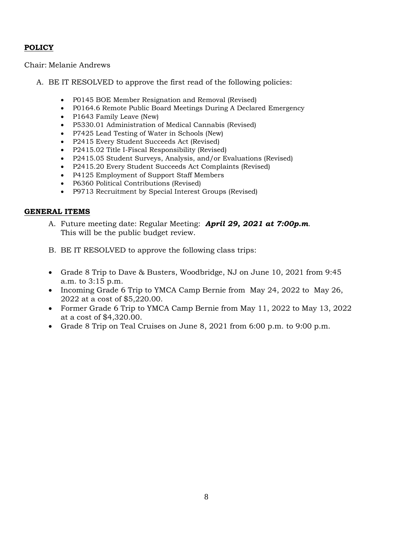# **POLICY**

Chair: Melanie Andrews

- A. BE IT RESOLVED to approve the first read of the following policies:
	- P0145 BOE Member Resignation and Removal (Revised)
	- P0164.6 Remote Public Board Meetings During A Declared Emergency
	- P1643 Family Leave (New)
	- P5330.01 Administration of Medical Cannabis (Revised)
	- P7425 Lead Testing of Water in Schools (New)
	- P2415 Every Student Succeeds Act (Revised)
	- P2415.02 Title I-Fiscal Responsibility (Revised)
	- P2415.05 Student Surveys, Analysis, and/or Evaluations (Revised)
	- P2415.20 Every Student Succeeds Act Complaints (Revised)
	- P4125 Employment of Support Staff Members
	- P6360 Political Contributions (Revised)
	- P9713 Recruitment by Special Interest Groups (Revised)

## **GENERAL ITEMS**

- A. Future meeting date: Regular Meeting: *April 29, 2021 at 7:00p.m*. This will be the public budget review.
- B. BE IT RESOLVED to approve the following class trips:
- Grade 8 Trip to Dave & Busters, Woodbridge, NJ on June 10, 2021 from 9:45 a.m. to 3:15 p.m.
- Incoming Grade 6 Trip to YMCA Camp Bernie from May 24, 2022 to May 26, 2022 at a cost of \$5,220.00.
- Former Grade 6 Trip to YMCA Camp Bernie from May 11, 2022 to May 13, 2022 at a cost of \$4,320.00.
- Grade 8 Trip on Teal Cruises on June 8, 2021 from 6:00 p.m. to 9:00 p.m.